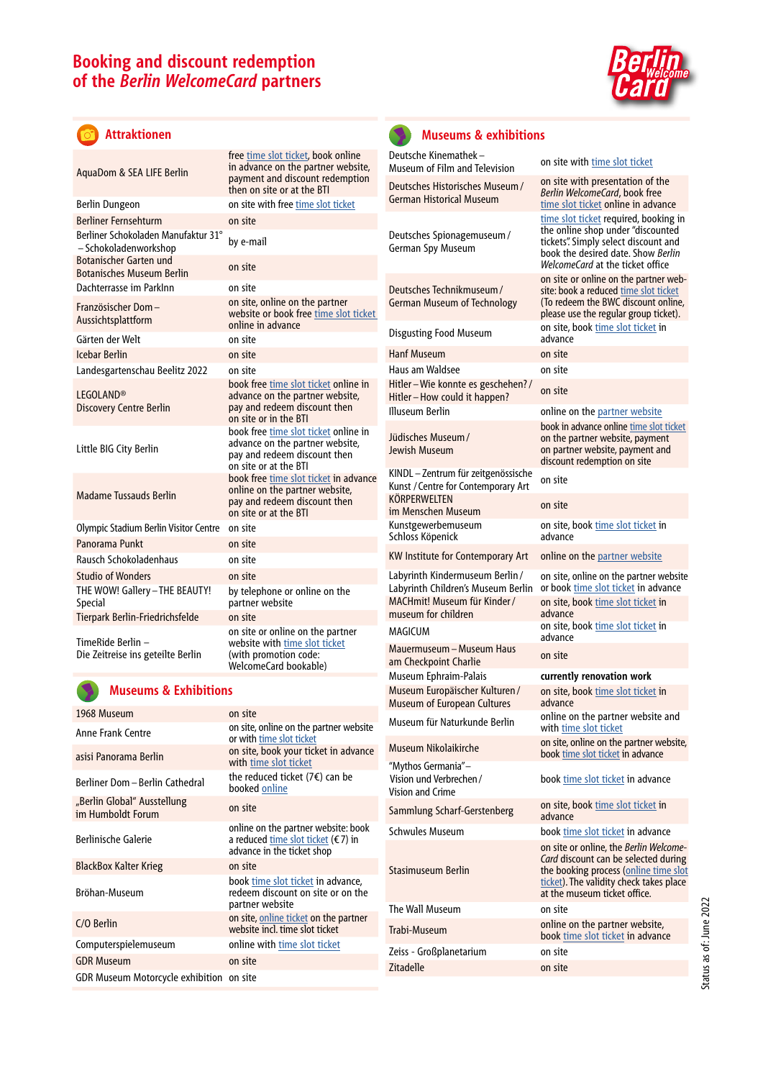# **Booking and discount redemption of the** *Berlin WelcomeCard* **partners**



#### $\sigma$ **Attraktionen**

| AquaDom & SEA LIFE Berlin                                         | free time slot ticket, book online<br>in advance on the partner website,<br>payment and discount redemption<br>then on site or at the BTI |
|-------------------------------------------------------------------|-------------------------------------------------------------------------------------------------------------------------------------------|
| Berlin Dungeon                                                    | on site with free time slot ticket                                                                                                        |
| <b>Berliner Fernsehturm</b>                                       | on site                                                                                                                                   |
| Berliner Schokoladen Manufaktur 31°<br>- Schokoladenworkshop      | by e-mail                                                                                                                                 |
| <b>Botanischer Garten und</b><br><b>Botanisches Museum Berlin</b> | on site                                                                                                                                   |
| Dachterrasse im Parklnn                                           | on site                                                                                                                                   |
| Französischer Dom-<br>Aussichtsplattform                          | on site, online on the partner<br>website or book free time slot ticket<br>online in advance                                              |
| Gärten der Welt                                                   | on site                                                                                                                                   |
| Icebar Berlin                                                     | on site                                                                                                                                   |
| Landesgartenschau Beelitz 2022                                    | on site                                                                                                                                   |
| <b>LEGOLAND®</b><br><b>Discovery Centre Berlin</b>                | book free time slot ticket online in<br>advance on the partner website,<br>pay and redeem discount then<br>on site or in the BTI          |
| Little BIG City Berlin                                            | book free time slot ticket online in<br>advance on the partner website,<br>pay and redeem discount then<br>on site or at the BTI          |
| <b>Madame Tussauds Berlin</b>                                     | book free time slot ticket in advance<br>online on the partner website,<br>pay and redeem discount then<br>on site or at the BTI          |
| Olympic Stadium Berlin Visitor Centre                             | on site                                                                                                                                   |
| Panorama Punkt                                                    | on site                                                                                                                                   |
| Rausch Schokoladenhaus                                            | on site                                                                                                                                   |
| <b>Studio of Wonders</b>                                          | on site                                                                                                                                   |
| THE WOW! Gallery - THE BEAUTY!<br>Special                         | by telephone or online on the<br>partner website                                                                                          |
| Tierpark Berlin-Friedrichsfelde                                   | on site                                                                                                                                   |
| TimeRide Berlin -<br>Die Zeitreise ins geteilte Berlin            | on site or online on the partner<br>website with time slot ticket<br>(with promotion code:<br>WelcomeCard bookable)                       |
|                                                                   |                                                                                                                                           |

### **Museums & Exhibitions**

| 1968 Museum                                      | on site                                                                                                            |
|--------------------------------------------------|--------------------------------------------------------------------------------------------------------------------|
| Anne Frank Centre                                | on site, online on the partner website<br>or with time slot ticket                                                 |
| asisi Panorama Berlin                            | on site, book your ticket in advance<br>with time slot ticket                                                      |
| Berliner Dom - Berlin Cathedral                  | the reduced ticket (7€) can be<br>booked online                                                                    |
| "Berlin Global" Ausstellung<br>im Humboldt Forum | on site                                                                                                            |
| <b>Berlinische Galerie</b>                       | online on the partner website: book<br>a reduced time slot ticket ( $\epsilon$ 7) in<br>advance in the ticket shop |
| <b>BlackBox Kalter Krieg</b>                     | on site                                                                                                            |
| Bröhan-Museum                                    | book time slot ticket in advance,<br>redeem discount on site or on the<br>partner website                          |
| C/O Berlin                                       | on site, online ticket on the partner<br>website incl. time slot ticket                                            |
| Computerspielemuseum                             | online with time slot ticket                                                                                       |
| <b>GDR Museum</b>                                | on site                                                                                                            |
| <b>GDR Museum Motorcycle exhibition</b>          | on site                                                                                                            |



I

### **Museums & exhibitions**

| Deutsche Kinemathek-<br>Museum of Film and Television                                                                       | on site with time slot ticket                                                                                                                                                                             |
|-----------------------------------------------------------------------------------------------------------------------------|-----------------------------------------------------------------------------------------------------------------------------------------------------------------------------------------------------------|
| Deutsches Historisches Museum /<br><b>German Historical Museum</b>                                                          | on site with presentation of the<br>Berlin WelcomeCard, book free<br>time slot ticket online in advance                                                                                                   |
| Deutsches Spionagemuseum/<br>German Spy Museum                                                                              | time slot ticket required, booking in<br>the online shop under "discounted<br>tickets". Simply select discount and<br>book the desired date. Show Berlin<br>WelcomeCard at the ticket office              |
| Deutsches Technikmuseum /<br><b>German Museum of Technology</b>                                                             | on site or online on the partner web-<br>site: book a reduced time slot ticket<br>(To redeem the BWC discount online,<br>please use the regular group ticket).<br>on site, book time slot ticket in       |
| <b>Disgusting Food Museum</b>                                                                                               | advance                                                                                                                                                                                                   |
| <b>Hanf Museum</b>                                                                                                          | on site                                                                                                                                                                                                   |
| Haus am Waldsee                                                                                                             | on site                                                                                                                                                                                                   |
| Hitler-Wie konnte es geschehen?/<br>Hitler-How could it happen?                                                             | on site                                                                                                                                                                                                   |
| Illuseum Berlin                                                                                                             | online on the partner website                                                                                                                                                                             |
| Jüdisches Museum /<br>Jewish Museum                                                                                         | book in advance online time slot ticket<br>on the partner website, payment<br>on partner website, payment and<br>discount redemption on site                                                              |
| KINDL - Zentrum für zeitgenössische<br>Kunst / Centre for Contemporary Art                                                  | on site                                                                                                                                                                                                   |
| KÖRPERWELTEN<br>im Menschen Museum                                                                                          | on site                                                                                                                                                                                                   |
| Kunstgewerbemuseum<br>Schloss Köpenick                                                                                      | on site, book time slot ticket in<br>advance                                                                                                                                                              |
| KW Institute for Contemporary Art                                                                                           | online on the partner website                                                                                                                                                                             |
| Labyrinth Kindermuseum Berlin /<br>Labyrinth Children's Museum Berlin<br>MACHmit! Museum für Kinder/<br>museum for children | on site, online on the partner website<br>or book time slot ticket in advance<br>on site, book time slot ticket in<br>advance                                                                             |
| MAGICUM                                                                                                                     | on site, book time slot ticket in                                                                                                                                                                         |
| Mauermuseum – Museum Haus                                                                                                   | advance                                                                                                                                                                                                   |
| am Checkpoint Charlie                                                                                                       | on site                                                                                                                                                                                                   |
| Museum Ephraim-Palais                                                                                                       | currently renovation work                                                                                                                                                                                 |
| Museum Europäischer Kulturen/<br><b>Museum of European Cultures</b>                                                         | on site, book time slot ticket in<br>advance                                                                                                                                                              |
| Museum für Naturkunde Berlin                                                                                                | online on the partner website and<br>with time slot ticket                                                                                                                                                |
| Museum Nikolaikirche                                                                                                        | on site, online on the partner website,<br>book time slot ticket in advance                                                                                                                               |
| "Mythos Germania"-<br>Vision und Verbrechen /<br>Vision and Crime                                                           | book time slot ticket in advance                                                                                                                                                                          |
| Sammlung Scharf-Gerstenberg                                                                                                 | on site, book time slot ticket in<br>advance                                                                                                                                                              |
| <b>Schwules Museum</b>                                                                                                      | book time slot ticket in advance                                                                                                                                                                          |
| Stasimuseum Berlin                                                                                                          | on site or online, the <i>Berlin Welcome-</i><br>Card discount can be selected during<br>the booking process (online time slot<br>ticket). The validity check takes place<br>at the museum ticket office. |
| The Wall Museum                                                                                                             | on site                                                                                                                                                                                                   |
| Trabi-Museum                                                                                                                | online on the partner website,<br>book time slot ticket in advance                                                                                                                                        |
| Zeiss - Großplanetarium                                                                                                     | on site                                                                                                                                                                                                   |
| Zitadelle                                                                                                                   | on site                                                                                                                                                                                                   |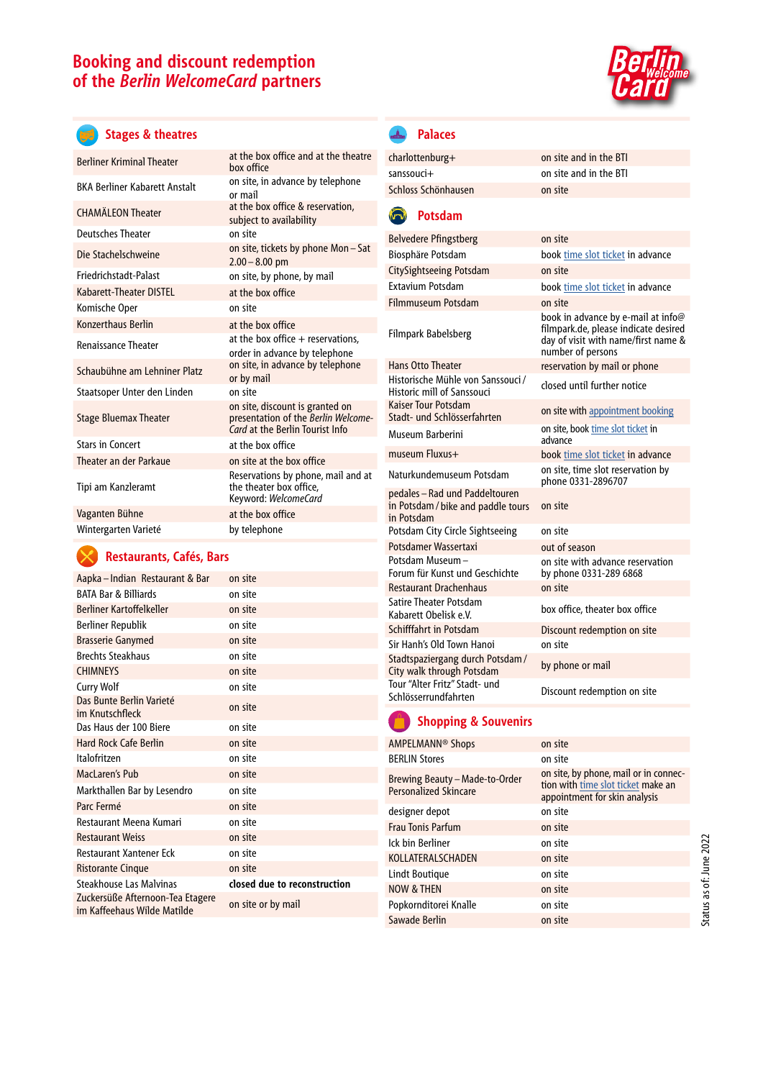# **Booking and discount redemption of the** *Berlin WelcomeCard* **partners**



## **Stages & theatres**

| Berliner Kriminal Theater     | at the box office and at the theatre<br>hox office                                                        |
|-------------------------------|-----------------------------------------------------------------------------------------------------------|
| BKA Berliner Kabarett Anstalt | on site, in advance by telephone<br>or mail                                                               |
| <b>CHAMÄLEON Theater</b>      | at the box office & reservation,<br>subject to availability                                               |
| Deutsches Theater             | on site                                                                                                   |
| Die Stachelschweine           | on site, tickets by phone Mon-Sat<br>$2.00 - 8.00$ pm                                                     |
| Friedrichstadt-Palast         | on site, by phone, by mail                                                                                |
| Kabarett-Theater DISTEL       | at the box office                                                                                         |
| Komische Oper                 | on site                                                                                                   |
| Konzerthaus Berlin            | at the box office                                                                                         |
| <b>Renaissance Theater</b>    | at the box office + reservations,<br>order in advance by telephone                                        |
| Schaubühne am Lehniner Platz  | on site, in advance by telephone<br>or by mail                                                            |
| Staatsoper Unter den Linden   | on site                                                                                                   |
| <b>Stage Bluemax Theater</b>  | on site, discount is granted on<br>presentation of the Berlin Welcome-<br>Card at the Berlin Tourist Info |
| Stars in Concert              | at the box office                                                                                         |
| Theater an der Parkaue        | on site at the box office                                                                                 |
| Tipi am Kanzleramt            | Reservations by phone, mail and at<br>the theater box office.<br>Keyword: WelcomeCard                     |
| Vaganten Bühne                | at the box office                                                                                         |
| Wintergarten Varieté          | by telephone                                                                                              |

## **Restaurants, Cafés, Bars**

| Aapka – Indian Restaurant & Bar                                 | on site                      |
|-----------------------------------------------------------------|------------------------------|
| <b>BATA Bar &amp; Billiards</b>                                 | on site                      |
| Berliner Kartoffelkeller                                        | on site                      |
| Berliner Republik                                               | on site                      |
| <b>Brasserie Ganymed</b>                                        | on site                      |
| <b>Brechts Steakhaus</b>                                        | on site                      |
| <b>CHIMNEYS</b>                                                 | on site                      |
| Curry Wolf                                                      | on site                      |
| Das Bunte Berlin Varieté<br>im Knutschfleck                     | on site                      |
| Das Haus der 100 Biere                                          | on site                      |
| <b>Hard Rock Cafe Berlin</b>                                    | on site                      |
| Italofritzen                                                    | on site                      |
| MacLaren's Pub                                                  | on site                      |
| Markthallen Bar by Lesendro                                     | on site                      |
| Parc Fermé                                                      | on site                      |
| Restaurant Meena Kumari                                         | on site                      |
| <b>Restaurant Weiss</b>                                         | on site                      |
| Restaurant Xantener Eck                                         | on site                      |
| <b>Ristorante Cinque</b>                                        | on site                      |
| Steakhouse Las Malvinas                                         | closed due to reconstruction |
| Zuckersüße Afternoon-Tea Etagere<br>im Kaffeehaus Wilde Matilde | on site or by mail           |
|                                                                 |                              |

#### **Palaces**  $\triangle$

| charlottenburg+     | on site and in the BTI |
|---------------------|------------------------|
| sanssouci+          | on site and in the BTI |
| Schloss Schönhausen | on site                |
|                     |                        |

#### **Potsdam**  $\Box$

| <b>Belvedere Pfingstberg</b>                                                       | on site                                                                                                                                |
|------------------------------------------------------------------------------------|----------------------------------------------------------------------------------------------------------------------------------------|
| Biosphäre Potsdam                                                                  | book time slot ticket in advance                                                                                                       |
| CitySightseeing Potsdam                                                            | on site                                                                                                                                |
| <b>Extavium Potsdam</b>                                                            | book time slot ticket in advance                                                                                                       |
| Filmmuseum Potsdam                                                                 | on site                                                                                                                                |
| Filmpark Babelsberg                                                                | book in advance by e-mail at info@<br>filmpark.de, please indicate desired<br>day of visit with name/first name &<br>number of persons |
| <b>Hans Otto Theater</b>                                                           | reservation by mail or phone                                                                                                           |
| Historische Mühle von Sanssouci/<br>Historic mill of Sanssouci                     | closed until further notice                                                                                                            |
| <b>Kaiser Tour Potsdam</b><br>Stadt- und Schlösserfahrten                          | on site with appointment booking                                                                                                       |
| Museum Barberini                                                                   | on site, book time slot ticket in<br>advance                                                                                           |
| museum Fluxus+                                                                     | book time slot ticket in advance                                                                                                       |
| Naturkundemuseum Potsdam                                                           | on site, time slot reservation by<br>phone 0331-2896707                                                                                |
| pedales – Rad und Paddeltouren<br>in Potsdam / bike and paddle tours<br>in Potsdam | on site                                                                                                                                |
| Potsdam City Circle Sightseeing                                                    | on site                                                                                                                                |
| Potsdamer Wassertaxi                                                               | out of season                                                                                                                          |
| Potsdam Museum-<br>Forum für Kunst und Geschichte                                  | on site with advance reservation<br>by phone 0331-289 6868                                                                             |
| <b>Restaurant Drachenhaus</b>                                                      | on site                                                                                                                                |
| <b>Satire Theater Potsdam</b><br>Kabarett Obelisk e.V.                             | box office, theater box office                                                                                                         |
| Schifffahrt in Potsdam                                                             | Discount redemption on site                                                                                                            |
| Sir Hanh's Old Town Hanoi                                                          | on site                                                                                                                                |
| Stadtspaziergang durch Potsdam /<br>City walk through Potsdam                      | by phone or mail                                                                                                                       |
| Tour "Alter Fritz" Stadt- und<br>Schlösserrundfahrten                              | Discount redemption on site                                                                                                            |

## **Shopping & Souvenirs**

| AMPELMANN <sup>®</sup> Shops                            | on site                                                                                                      |
|---------------------------------------------------------|--------------------------------------------------------------------------------------------------------------|
| <b>BFRI IN Stores</b>                                   | on site                                                                                                      |
| Brewing Beauty - Made-to-Order<br>Personalized Skincare | on site, by phone, mail or in connec-<br>tion with time slot ticket make an<br>appointment for skin analysis |
| designer depot                                          | on site                                                                                                      |
| <b>Frau Tonis Parfum</b>                                | on site                                                                                                      |
| Ick bin Berliner                                        | on site                                                                                                      |
| KOLLATERALSCHADEN                                       | on site                                                                                                      |
| Lindt Boutique                                          | on site                                                                                                      |
| <b>NOW &amp; THEN</b>                                   | on site                                                                                                      |
| Popkornditorei Knalle                                   | on site                                                                                                      |
| Sawade Berlin                                           | on site                                                                                                      |